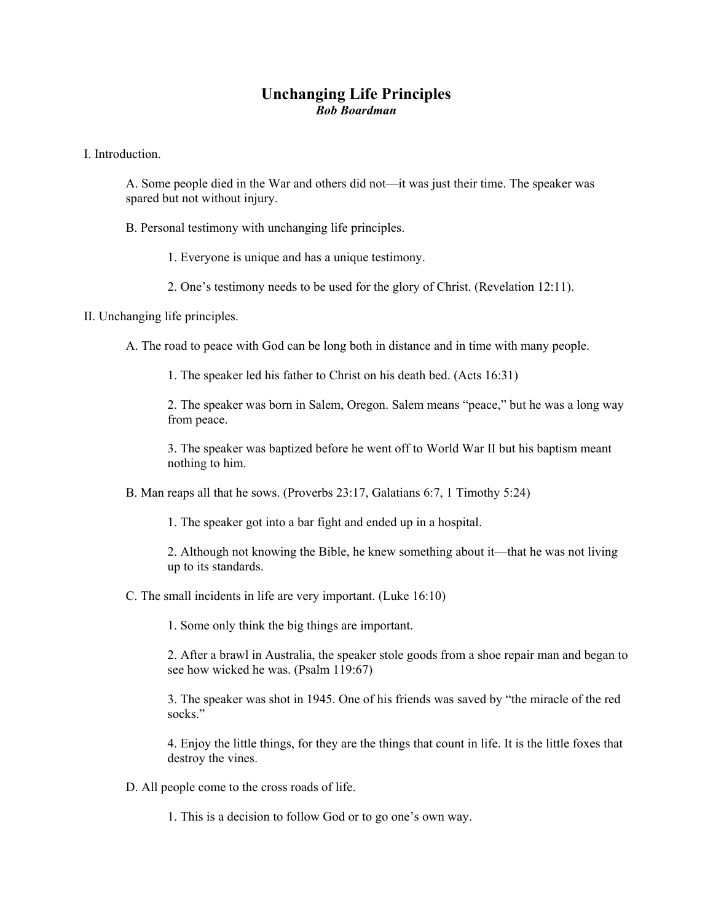## **Unchanging Life Principles**  *Bob Boardman*

I. Introduction.

A. Some people died in the War and others did not—it was just their time. The speaker was spared but not without injury.

- B. Personal testimony with unchanging life principles.
	- 1. Everyone is unique and has a unique testimony.
	- 2. One's testimony needs to be used for the glory of Christ. (Revelation 12:11).

## II. Unchanging life principles.

A. The road to peace with God can be long both in distance and in time with many people.

1. The speaker led his father to Christ on his death bed. (Acts 16:31)

2. The speaker was born in Salem, Oregon. Salem means "peace," but he was a long way from peace.

3. The speaker was baptized before he went off to World War II but his baptism meant nothing to him.

B. Man reaps all that he sows. (Proverbs 23:17, Galatians 6:7, 1 Timothy 5:24)

1. The speaker got into a bar fight and ended up in a hospital.

2. Although not knowing the Bible, he knew something about it—that he was not living up to its standards.

C. The small incidents in life are very important. (Luke 16:10)

1. Some only think the big things are important.

2. After a brawl in Australia, the speaker stole goods from a shoe repair man and began to see how wicked he was. (Psalm 119:67)

3. The speaker was shot in 1945. One of his friends was saved by "the miracle of the red socks."

4. Enjoy the little things, for they are the things that count in life. It is the little foxes that destroy the vines.

D. All people come to the cross roads of life.

1. This is a decision to follow God or to go one's own way.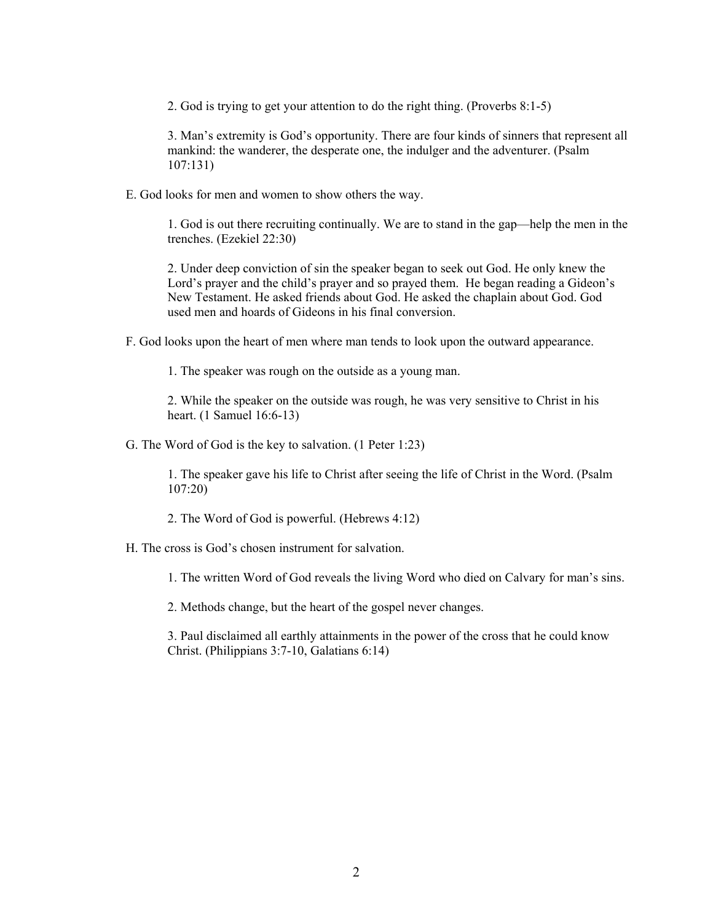2. God is trying to get your attention to do the right thing. (Proverbs 8:1-5)

3. Man's extremity is God's opportunity. There are four kinds of sinners that represent all mankind: the wanderer, the desperate one, the indulger and the adventurer. (Psalm 107:131)

E. God looks for men and women to show others the way.

1. God is out there recruiting continually. We are to stand in the gap—help the men in the trenches. (Ezekiel 22:30)

2. Under deep conviction of sin the speaker began to seek out God. He only knew the Lord's prayer and the child's prayer and so prayed them. He began reading a Gideon's New Testament. He asked friends about God. He asked the chaplain about God. God used men and hoards of Gideons in his final conversion.

F. God looks upon the heart of men where man tends to look upon the outward appearance.

1. The speaker was rough on the outside as a young man.

2. While the speaker on the outside was rough, he was very sensitive to Christ in his heart. (1 Samuel 16:6-13)

G. The Word of God is the key to salvation. (1 Peter 1:23)

1. The speaker gave his life to Christ after seeing the life of Christ in the Word. (Psalm 107:20)

2. The Word of God is powerful. (Hebrews 4:12)

H. The cross is God's chosen instrument for salvation.

1. The written Word of God reveals the living Word who died on Calvary for man's sins.

2. Methods change, but the heart of the gospel never changes.

3. Paul disclaimed all earthly attainments in the power of the cross that he could know Christ. (Philippians 3:7-10, Galatians 6:14)